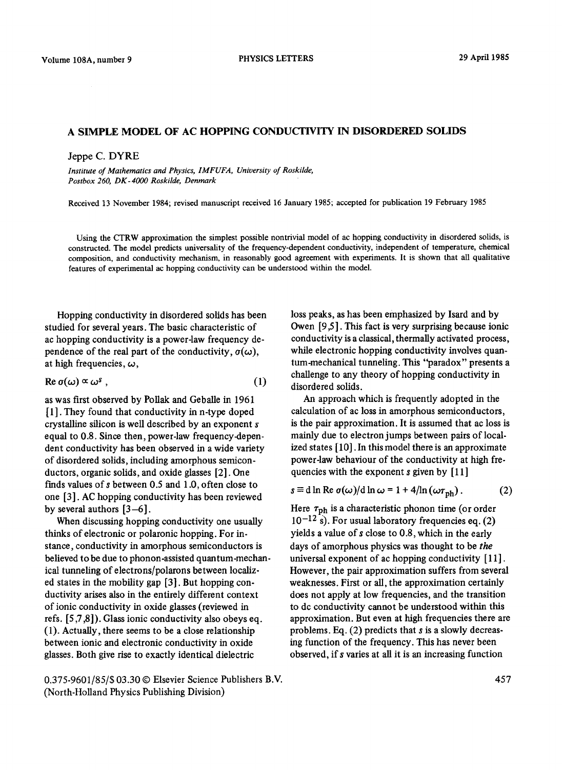## A SIMPLE MODEL OF AC HOPPING CONDUCTIVITY IN DISORDERED SOLIDS

Jeppe C. DYRE

*Institute of Mathematics and Physics, IMFUFA, University of Roskilde, Postbox 260, DK-4000 Roskilde, Denmark* 

Received 13 November 1984; revised manuscript received 16 January 1985; accepted for publication 19 February 1985

Using the CTRW approximation the simplest possible nontrivial model of ac hopping conductivity in disordered solids, is constructed. The model predicts universality of the frequency-dependent conductivity, independent of temperature, chemical composition, and conductivity mechanism, in reasonably good agreement with experiments. It is shown that all qualitative features of experimental ac hopping conductivity can be understood within the model.

Hopping conductivity in disordered solids has been studied for several years. The basic characteristic of ac hopping conductivity is a power-law frequency dependence of the real part of the conductivity,  $\sigma(\omega)$ , at high frequencies,  $\omega$ ,

$$
\operatorname{Re}\, \sigma(\omega) \propto \omega^s \; , \tag{1}
$$

as was first observed by Pollak and Geballe in 1961 [1]. They found that conductivity in n-type doped crystalline silicon is well described by an exponent s equal to 0.8. Since then, power-law frequency-dependent conductivity has been observed in a wide variety of disordered solids, including amorphous semiconductors, organic solids, and oxide glasses [2]. One Finds values of s between 0.5 and 1.0, often close to one [3]. AC hopping conductivity has been reviewed by several authors  $[3-6]$ .

When discussing hopping conductivity one usually thinks of electronic or polaronic hopping. For instance, conductivity in amorphous semiconductors is believed to be due to phonon-assisted quantum-mechanical tunneling of electrons/polarons between localized states in the mobility gap [3]. But hopping conductivity arises also in the entirely different context of ionic conductivity in oxide glasses (reviewed in refs. [5,7,8]). Glass ionic conductivity also obeys eq. (1). Actually, there seems to be a close relationship between ionic and electronic conductivity in oxide glasses. Both give rise to exactly identical dielectric

0.375-9601/85/\$ 03.30 © Elsevier Science Publishers B.V. (North-Holland Physics Publishing Division)

loss peaks, as has been emphasized by Isard and by Owen [9.5]. This fact is very surprising because ionic conductivity is a classical, thermally activated process, while electronic hopping conductivity involves quantum-mechanical tunneling. This "paradox" presents a challenge to any theory of hopping conductivity in disordered solids.

An approach which is frequently adopted in the calculation of ac loss in amorphous semiconductors, is the pair approximation. It is assumed that ac loss is mainly due to electron jumps between pairs of localized states [ 10]. In this model there is an approximate power-law behaviour of the conductivity at high frequencies with the exponent  $s$  given by  $[11]$ 

$$
s \equiv d \ln \text{Re } \sigma(\omega) / d \ln \omega = 1 + 4 / \ln (\omega \tau_{\text{ph}}) \,. \tag{2}
$$

Here  $\tau_{\rm ph}$  is a characteristic phonon time (or order  $10^{-12}$  s). For usual laboratory frequencies eq. (2) yields a value of  $s$  close to 0.8, which in the early days of amorphous physics was thought to be *the*  universal exponent of ac hopping conductivity [ 11 ]. However, the pair approximation suffers from several weaknesses. First or all, the approximation certainly does not apply at low frequencies, and the transition to dc conductivity cannot be understood within this approximation. But even at high frequencies there are problems. Eq.  $(2)$  predicts that s is a slowly decreasing function of the frequency. This has never been observed, if s varies at all it is an increasing function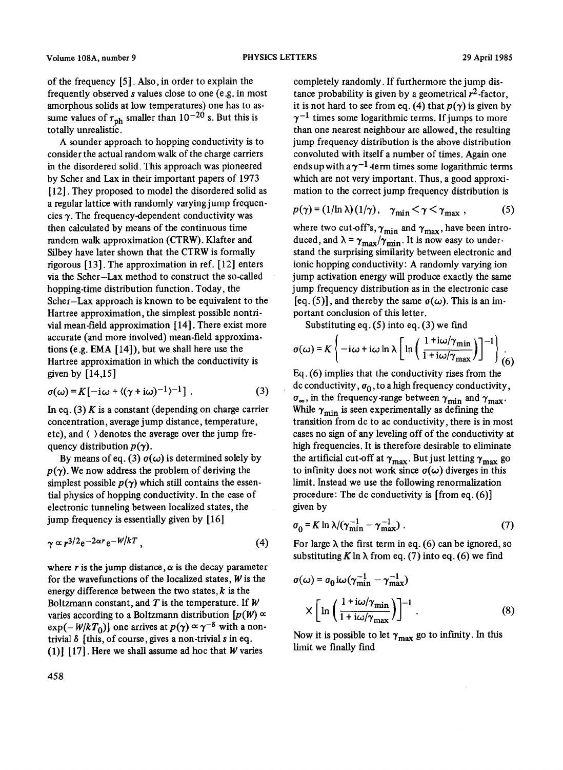of the frequency [5]. Also, in order to explain the frequently observed s values close to one (e.g. in most amorphous sohds at low temperatures) one has to assume values of  $\tau_{\text{ph}}$  smaller than 10<sup>-20</sup> s. But this is totally unrealistic.

A sounder approach to hopping conductivity is to consider the actual random walk of the charge carriers in the disordered solid. This approach was pioneered by Scher and Lax in their important papers of 1973 [12]. They proposed to model the disordered solid as a regular lattice with randomly varying jump frequencies  $\gamma$ . The frequency-dependent conductivity was then calculated by means of the continuous time random walk approximation (CTRW). Klafter and Silbey have later shown that the CTRW is formally rigorous [13]. The approximation in ref. [12] enters via the Scher-Lax method to construct the so-called hopping-time distribution function. Today, the Scher-Lax approach is known to be equivalent to the Hartree approximation, the simplest possible nontrivial mean-field approximation [14]. There exist more accurate (and more involved) mean-field approximations (e.g. EMA [14]), but we shall here use the Hartree approximation in which the conductivity is given by  $[14, 15]$ 

$$
\sigma(\omega) = K[-i\omega + \langle (\gamma + i\omega)^{-1} \rangle^{-1}].
$$
 (3)

In eq. (3) K is a constant (depending on charge carrier concentration, average jump distance, temperature, etc), and  $\langle \ \rangle$  denotes the average over the jump frequency distribution  $p(\gamma)$ .

By means of eq. (3)  $\sigma(\omega)$  is determined solely by  $p(\gamma)$ . We now address the problem of deriving the simplest possible  $p(\gamma)$  which still contains the essential physics of hopping conductivity. In the case of electronic tunneling between localized states, the jump frequency is essentially given by [16]

$$
\gamma \propto r^{3/2} e^{-2\alpha r} e^{-W/kT}, \qquad (4)
$$

where r is the jump distance,  $\alpha$  is the decay parameter for the wavefunctions of the localized states,  $W$  is the energy difference between the two states,  $k$  is the Boltzmann constant, and  $T$  is the temperature. If  $W$ varies according to a Boltzmann distribution  $[p(W) \propto$  $\exp(-W/kT_0)$  one arrives at  $p(\gamma) \propto \gamma^{-\delta}$  with a nontrivial  $\delta$  [this, of course, gives a non-trivial s in eq. (1)] [17]. Here we shall assume ad hoc that  $W$  varies

completely randomly. If furthermore the jump distance probability is given by a geometrical  $r^2$ -factor, it is not hard to see from eq. (4) that  $p(\gamma)$  is given by  $\gamma^{-1}$  times some logarithmic terms. If jumps to more than one nearest neighbour are allowed, the resulting jump frequency distribution is the above distribution convoluted with itself a number of times. Again one ends up with a  $\gamma^{-1}$ -term times some logarithmic terms which are not very important. Thus, a good approximation to the correct jump frequency distribution is

$$
p(\gamma) = (1/\ln \lambda)(1/\gamma), \quad \gamma_{\min} < \gamma < \gamma_{\max} , \tag{5}
$$

where two cut-off's,  $\gamma_{\text{min}}$  and  $\gamma_{\text{max}}$ , have been introduced, and  $\lambda = \gamma_{\text{max}}/\gamma_{\text{min}}$ . It is now easy to understand the surprising similarity between electronic and ionic hopping conductivity: A randomly varying ion jump activation energy will produce exactly the same jump frequency distribution as in the electronic case [eq. (5)], and thereby the same  $\sigma(\omega)$ . This is an important conclusion of this letter.

Substituting eq.  $(5)$  into eq.  $(3)$  we find

$$
\sigma(\omega) = K \left\{ -i\omega + i\omega \ln \lambda \left[ \ln \left( \frac{1 + i\omega/\gamma_{\min}}{1 + i\omega/\gamma_{\max}} \right) \right]^{-1} \right\} \tag{6}
$$

Eq. (6) implies that the conductivity rises from the dc conductivity,  $\sigma_0$ , to a high frequency conductivity,  $\sigma_{\infty}$ , in the frequency-range between  $\gamma_{\text{min}}$  and  $\gamma_{\text{max}}$ . While  $\gamma_{\text{min}}$  is seen experimentally as defining the transition from dc to ac conductivity, there is in most cases no sign of any leveling off of the conductivity at high frequencies. It is therefore desirable to eliminate the artificial cut-off at  $\gamma_{\text{max}}$ . But just letting  $\gamma_{\text{max}}$  go to infinity does not work since  $\sigma(\omega)$  diverges in this limit. Instead we use the following renormalization procedure: The dc conductivity is [from eq. (6)] given by

$$
\sigma_0 = K \ln \lambda / (\gamma_{\text{min}}^{-1} - \gamma_{\text{max}}^{-1}) \ . \tag{7}
$$

For large  $\lambda$  the first term in eq. (6) can be ignored, so substituting K ln  $\lambda$  from eq. (7) into eq. (6) we find

$$
\sigma(\omega) = \sigma_0 i \omega (\gamma_{\min}^{-1} - \gamma_{\max}^{-1})
$$

$$
\times \left[ \ln \left( \frac{1 + i \omega / \gamma_{\min}}{1 + i \omega / \gamma_{\max}} \right) \right]^{-1} . \tag{8}
$$

Now it is possible to let  $\gamma_{\text{max}}$  go to infinity. In this limit we finally find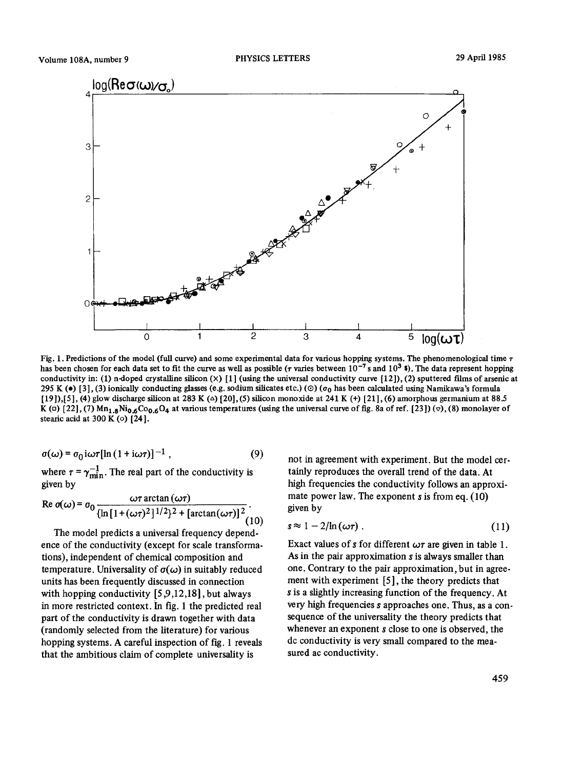

Fig. 1. Predictions of the model (full curve) and some experimental data for various hopping systems. The phenomenological time  $\tau$ has been chosen for each data set to fit the curve as well as possible ( $\tau$  varies between 10<sup>-7</sup> s and 10<sup>3</sup> s). The data represent hopping conductivity in: (1) n-doped crystalline silicon  $(X)$  [1] (using the universal conductivity curve [12]), (2) sputtered films of arsenic at 295 K ( $\bullet$ ) [3], (3) ionically conducting glasses (e.g. sodium silicates etc.) ( $\circ$ ) ( $\sigma_0$  has been calculated using Namikawa's formula [19]),[5], (4) glow discharge silicon at 283 K ( $\Delta$ ) [20], (5) silicon monoxide at 241 K (+) [21], (6) amorphous germanium at 88.5 K (n) [22], (7)  $Mn_{1.8}Ni_{0.6}Co_{0.6}O_4$  at various temperatures (using the universal curve of fig. 8a of ref. [23]) ( $\triangledown$ ), (8) monolayer of stearic acid at  $300 \text{ K}$  (o)  $[24]$ .

$$
\sigma(\omega) = \sigma_0 i \omega \tau [\ln (1 + i \omega \tau)]^{-1}, \qquad (9)
$$

where  $\tau = \gamma_{\min}^{-1}$ . The real part of the conductivity is given by

$$
\operatorname{Re}\, \sigma(\omega) = \sigma_0 \frac{\omega \tau \arctan(\omega \tau)}{\{\ln\left[1 + (\omega \tau)^2\right]^{1/2}\}^2 + \left[\arctan(\omega \tau)\right]^2}.
$$

The model predicts a universal frequency dependence of the conductivity (except for scale transformations), independent of chemical composition and temperature. Universality of  $\sigma(\omega)$  in suitably reduced units has been frequently discussed in connection with hopping conductivity  $[5,9,12,18]$ , but always in more restricted context. In fig. 1 the predicted real part of the conductivity is drawn together with data (randomly selected from the literature) for various hopping systems. A careful inspection of fig. 1 reveals that the ambitious claim of complete universality is

not in agreement with experiment. But the model certainly reproduces the overall trend of the data. At high frequencies the conductivity follows an approximate power law. The exponent  $s$  is from eq. (10) given by

$$
s \approx 1 - 2/\ln(\omega \tau) \tag{11}
$$

Exact values of s for different  $\omega\tau$  are given in table 1. As in the pair approximation s is always smaller than one. Contrary to the pair approximation, but in agreement with experiment [5], the theory predicts that s is a slightly increasing function of the frequency. At very high frequencies s approaches one. Thus, as a consequence of the universality the theory predicts that whenever an exponent s close to one is observed, the dc conductivity is very small compared to the measured ac conductivity.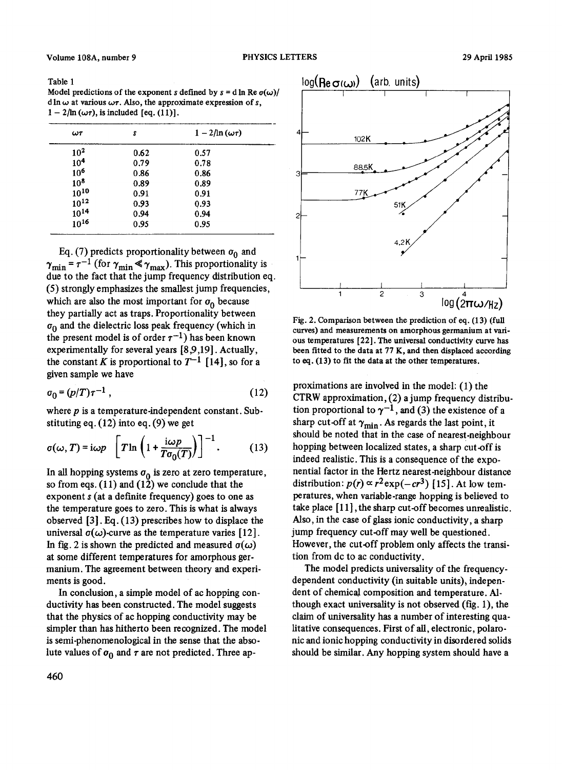Table 1

Model predictions of the exponent s defined by  $s = d \ln Re \, \sigma(\omega)$ / d ln  $\omega$  at various  $\omega\tau$ . Also, the approximate expression of s,  $1 - 2/\ln (\omega \tau)$ , is included [eq. (11)].

| $\omega\tau$    | s    | $1 - 2/\ln(\omega \tau)$ |
|-----------------|------|--------------------------|
| $10^{2}$        | 0.62 | 0.57                     |
| 10 <sup>4</sup> | 0.79 | 0.78                     |
| 10 <sup>6</sup> | 0.86 | 0.86                     |
| $10^{8}$        | 0.89 | 0.89                     |
| $10^{10}$       | 0.91 | 0.91                     |
| $10^{12}$       | 0.93 | 0.93                     |
| $10^{14}$       | 0.94 | 0.94                     |
| $10^{16}$       | 0.95 | 0.95                     |

Eq. (7) predicts proportionality between  $\sigma_0$  and  $\gamma_{\min}$  =  $\tau^{-1}$  (for  $\gamma_{\min} \ll \gamma_{\max}$ ). This proportionality is due to the fact that the jump frequency distribution eq. (5) strongly emphasizes the smallest jump frequencies, which are also the most important for  $\sigma_0$  because they partially act as traps. Proportionality between  $\sigma_0$  and the dielectric loss peak frequency (which in the present model is of order  $\tau^{-1}$ ) has been known experimentally for several years [8,9,19]. Actually, the constant K is proportional to  $T^{-1}$  [14], so for a given sample we have

$$
\sigma_0 = (p/T)\tau^{-1} \tag{12}
$$

where  $p$  is a temperature-independent constant. Substituting eq. (12) into eq. (9) we get

$$
\sigma(\omega, T) = i\omega p \quad \left[ T \ln \left( 1 + \frac{i\omega p}{T \sigma_0(T)} \right) \right]^{-1}.
$$
 (13)

In all hopping systems  $\sigma_0$  is zero at zero temperature, so from eqs.  $(11)$  and  $(12)$  we conclude that the exponent s (at a definite frequency) goes to one as the temperature goes to zero. This is what is always observed [3]. Eq. (13) prescribes how to displace the universal  $\sigma(\omega)$ -curve as the temperature varies [12]. In fig. 2 is shown the predicted and measured  $\sigma(\omega)$ at some different temperatures for amorphous germanium. The agreement between theory and experiments is good.

In conclusion, a simple model of ac hopping conductivity has been constructed. The model suggests that the physics of ac hopping conductivity may be simpler than has hitherto been recognized. The model is semi-phenomenological in the sense that the absolute values of  $\sigma_0$  and  $\tau$  are not predicted. Three ap-



Fig. 2. Comparison between the prediction of eq. (13) (full curves) and measurements on amorphous germanium at various temperatures [22]. The universal conductivity curve has been fitted to the data at 77 K, and then displaced according to eq. (13) to fit the data at the other temperatures.

proximations are involved in the model: (1) the CTRW approximation, (2) a jump frequency distribution proportional to  $\gamma^{-1}$ , and (3) the existence of a sharp cut-off at  $\gamma_{\text{min}}$ . As regards the last point, it should be noted that in the case of nearest-neighbour hopping between localized states, a sharp cut-off is indeed realistic. This is a consequence of the exponential factor in the Hertz nearest-neighbour distance distribution:  $p(r) \propto r^2 \exp(-cr^3)$  [15]. At low temperatures, when variable-range hopping is believed to take place [I 1], the sharp cut-off becomes unrealistic. Also, in the case of glass ionic conductivity, a sharp jump frequency cut-off may well be questioned. However, the cut-off problem only affects the transition from dc to ac conductivity.

The model predicts universality of the frequencydependent conductivity (in suitable units), independent of chemical composition and temperature. Although exact universality is not observed (fig. 1), the claim of universality has a number of interesting qualitative consequences. First of all, electronic, polaronic and ionic hopping conductivity in disordered solids should be similar. Any hopping system should have a

460